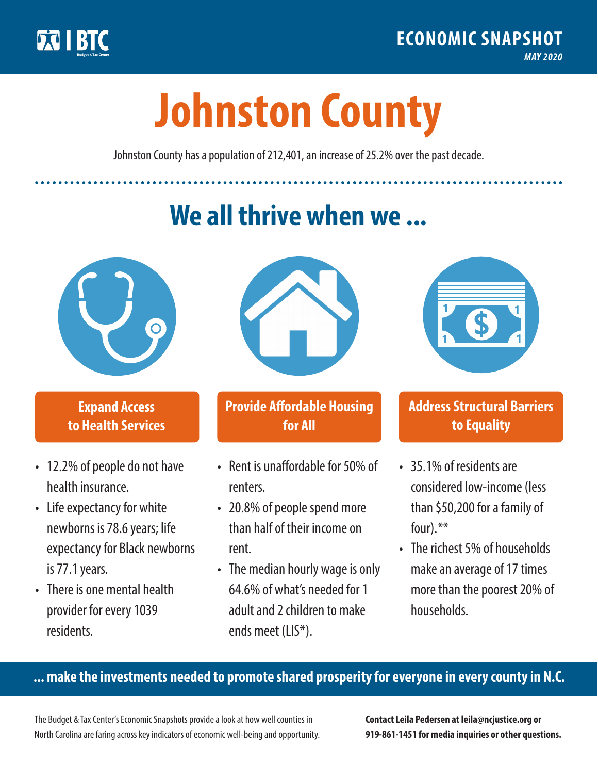

**1**

# **Johnston County**

Johnston County has a population of 212,401, an increase of 25.2% over the past decade.

# **We all thrive when we ...**



**\$ <sup>1</sup>**

**\$ <sup>1</sup>**

### **Expand Access to Health Services**

- 12.2% of people do not have health insurance.
- Life expectancy for white newborns is 78.6years; life expectancy for Black newborns is 77.1years.
- There is one mental health provider for every 1039 residents.



## **Provide Affordable Housing for All**

- Rent is unaffordable for 50% of renters.
- 20.8% of people spend more than half of their income on rent.
- The median hourly wage is only 64.6% of what's needed for 1 adult and 2 children to make ends meet (LIS\*).



### **Address Structural Barriers to Equality**

- 35.1% of residents are considered low-income (less than \$50,200 for a family of four).\*\*
- The richest 5% of households make an average of 17 times more than the poorest 20% of households.

#### **... make the investments needed to promote shared prosperity for everyone in every county in N.C.**

The Budget & Tax Center's Economic Snapshots provide a look at how well counties in North Carolina are faring across key indicators of economic well-being and opportunity.